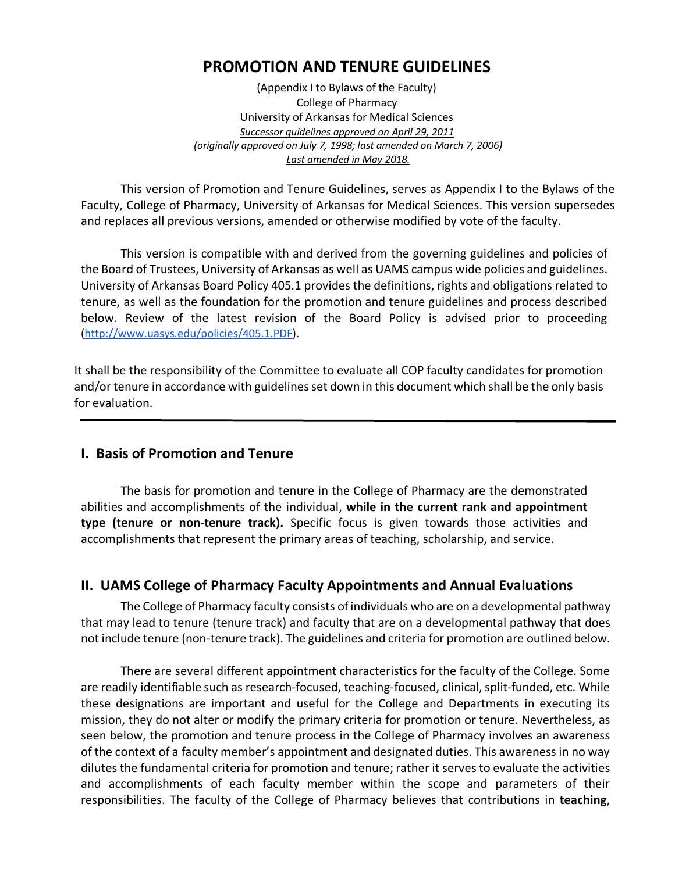## **PROMOTION AND TENURE GUIDELINES**

(Appendix I to Bylaws of the Faculty) College of Pharmacy University of Arkansas for Medical Sciences *Successor guidelines approved on April 29, 2011 (originally approved on July 7, 1998; last amended on March 7, 2006) Last amended in May 2018.*

This version of Promotion and Tenure Guidelines, serves as Appendix I to the Bylaws of the Faculty, College of Pharmacy, University of Arkansas for Medical Sciences. This version supersedes and replaces all previous versions, amended or otherwise modified by vote of the faculty.

This version is compatible with and derived from the governing guidelines and policies of the Board of Trustees, University of Arkansas as well as UAMS campus wide policies and guidelines. University of Arkansas Board Policy 405.1 provides the definitions, rights and obligations related to tenure, as well as the foundation for the promotion and tenure guidelines and process described below. Review of the latest revision of the Board Policy is advised prior to proceeding (http://www.uasys.edu/policies/405.1.PDF).

It shall be the responsibility of the Committee to evaluate all COP faculty candidates for promotion and/or tenure in accordance with guidelines set down in this document which shall be the only basis for evaluation.

### **I. Basis of Promotion and Tenure**

The basis for promotion and tenure in the College of Pharmacy are the demonstrated abilities and accomplishments of the individual, **while in the current rank and appointment type (tenure or non-tenure track).** Specific focus is given towards those activities and accomplishments that represent the primary areas of teaching, scholarship, and service.

### **II. UAMS College of Pharmacy Faculty Appointments and Annual Evaluations**

The College of Pharmacy faculty consists of individuals who are on a developmental pathway that may lead to tenure (tenure track) and faculty that are on a developmental pathway that does not include tenure (non-tenure track). The guidelines and criteria for promotion are outlined below.

There are several different appointment characteristics for the faculty of the College. Some are readily identifiable such as research-focused, teaching-focused, clinical, split-funded, etc. While these designations are important and useful for the College and Departments in executing its mission, they do not alter or modify the primary criteria for promotion or tenure. Nevertheless, as seen below, the promotion and tenure process in the College of Pharmacy involves an awareness of the context of a faculty member's appointment and designated duties. This awareness in no way dilutes the fundamental criteria for promotion and tenure; rather it serves to evaluate the activities and accomplishments of each faculty member within the scope and parameters of their responsibilities. The faculty of the College of Pharmacy believes that contributions in **teaching**,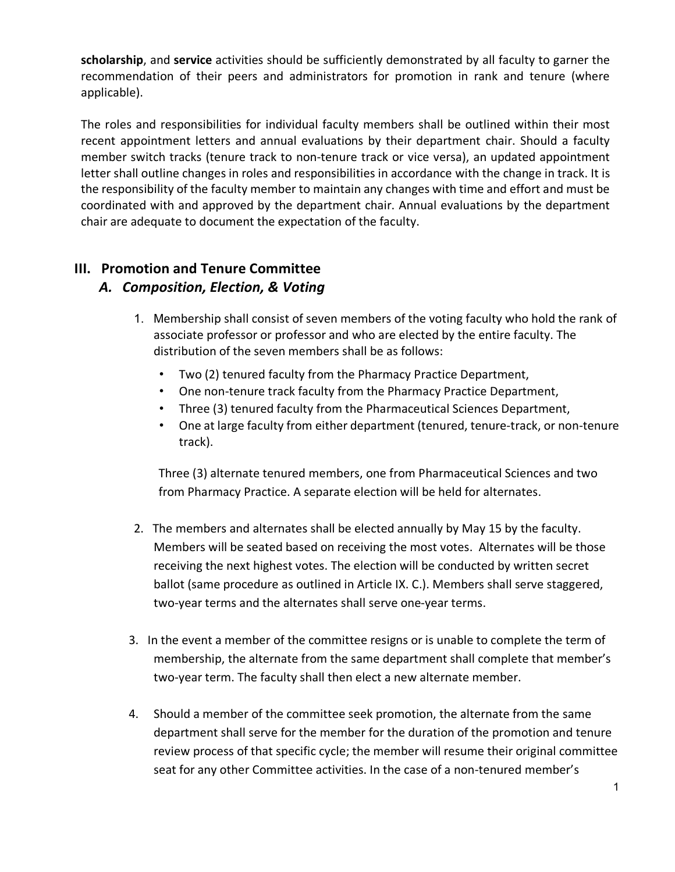**scholarship**, and **service** activities should be sufficiently demonstrated by all faculty to garner the recommendation of their peers and administrators for promotion in rank and tenure (where applicable).

The roles and responsibilities for individual faculty members shall be outlined within their most recent appointment letters and annual evaluations by their department chair. Should a faculty member switch tracks (tenure track to non-tenure track or vice versa), an updated appointment letter shall outline changes in roles and responsibilities in accordance with the change in track. It is the responsibility of the faculty member to maintain any changes with time and effort and must be coordinated with and approved by the department chair. Annual evaluations by the department chair are adequate to document the expectation of the faculty.

## **III. Promotion and Tenure Committee**

## *A. Composition, Election, & Voting*

- 1. Membership shall consist of seven members of the voting faculty who hold the rank of associate professor or professor and who are elected by the entire faculty. The distribution of the seven members shall be as follows:
	- Two (2) tenured faculty from the Pharmacy Practice Department,
	- One non-tenure track faculty from the Pharmacy Practice Department,
	- Three (3) tenured faculty from the Pharmaceutical Sciences Department,
	- One at large faculty from either department (tenured, tenure-track, or non-tenure track).

Three (3) alternate tenured members, one from Pharmaceutical Sciences and two from Pharmacy Practice. A separate election will be held for alternates.

- 2. The members and alternates shall be elected annually by May 15 by the faculty. Members will be seated based on receiving the most votes. Alternates will be those receiving the next highest votes. The election will be conducted by written secret ballot (same procedure as outlined in Article IX. C.). Members shall serve staggered, two-year terms and the alternates shall serve one-year terms.
- 3. In the event a member of the committee resigns or is unable to complete the term of membership, the alternate from the same department shall complete that member's two-year term. The faculty shall then elect a new alternate member.
- 4. Should a member of the committee seek promotion, the alternate from the same department shall serve for the member for the duration of the promotion and tenure review process of that specific cycle; the member will resume their original committee seat for any other Committee activities. In the case of a non-tenured member's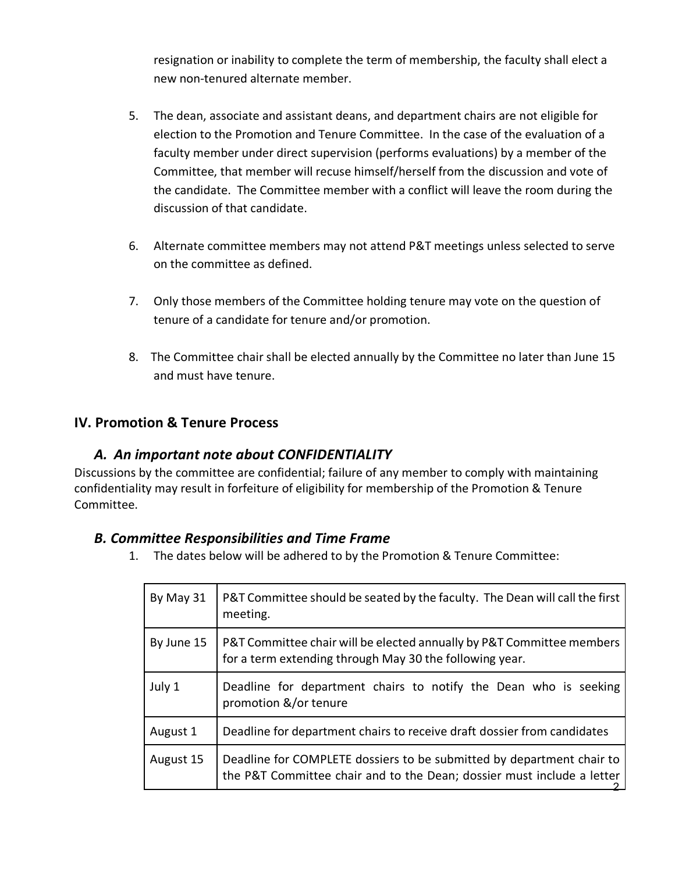resignation or inability to complete the term of membership, the faculty shall elect a new non-tenured alternate member.

- 5. The dean, associate and assistant deans, and department chairs are not eligible for election to the Promotion and Tenure Committee. In the case of the evaluation of a faculty member under direct supervision (performs evaluations) by a member of the Committee, that member will recuse himself/herself from the discussion and vote of the candidate. The Committee member with a conflict will leave the room during the discussion of that candidate.
- 6. Alternate committee members may not attend P&T meetings unless selected to serve on the committee as defined.
- 7. Only those members of the Committee holding tenure may vote on the question of tenure of a candidate for tenure and/or promotion.
- 8. The Committee chair shall be elected annually by the Committee no later than June 15 and must have tenure.

### **IV. Promotion & Tenure Process**

#### *A. An important note about CONFIDENTIALITY*

Discussions by the committee are confidential; failure of any member to comply with maintaining confidentiality may result in forfeiture of eligibility for membership of the Promotion & Tenure Committee.

#### *B. Committee Responsibilities and Time Frame*

1. The dates below will be adhered to by the Promotion & Tenure Committee:

| By May 31  | P&T Committee should be seated by the faculty. The Dean will call the first<br>meeting.                                                         |
|------------|-------------------------------------------------------------------------------------------------------------------------------------------------|
| By June 15 | P&T Committee chair will be elected annually by P&T Committee members<br>for a term extending through May 30 the following year.                |
| July 1     | Deadline for department chairs to notify the Dean who is seeking<br>promotion &/or tenure                                                       |
| August 1   | Deadline for department chairs to receive draft dossier from candidates                                                                         |
| August 15  | Deadline for COMPLETE dossiers to be submitted by department chair to<br>the P&T Committee chair and to the Dean; dossier must include a letter |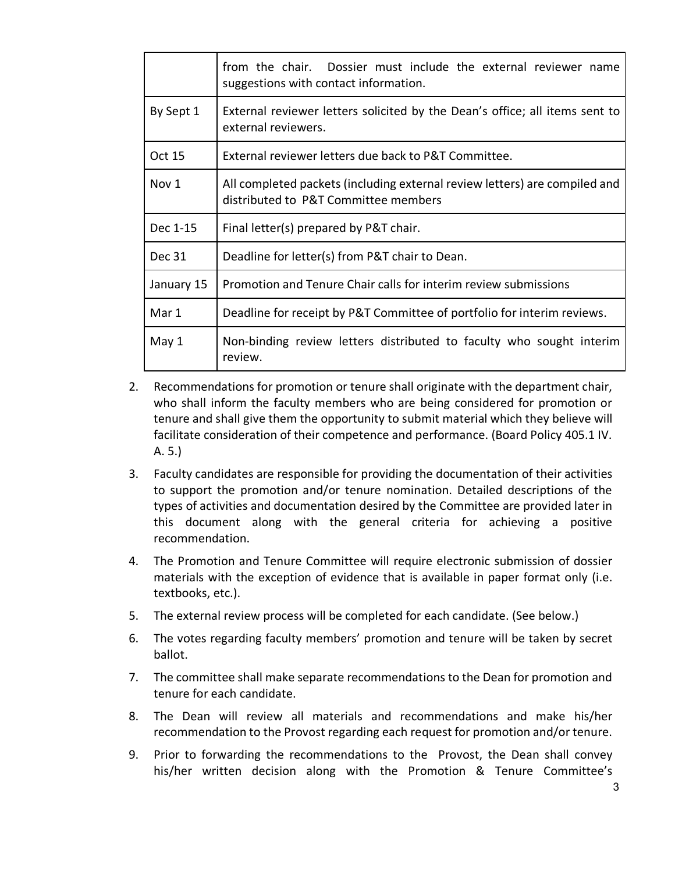|            | from the chair. Dossier must include the external reviewer name<br>suggestions with contact information.           |  |  |  |  |
|------------|--------------------------------------------------------------------------------------------------------------------|--|--|--|--|
| By Sept 1  | External reviewer letters solicited by the Dean's office; all items sent to<br>external reviewers.                 |  |  |  |  |
| Oct 15     | External reviewer letters due back to P&T Committee.                                                               |  |  |  |  |
| Nov 1      | All completed packets (including external review letters) are compiled and<br>distributed to P&T Committee members |  |  |  |  |
| Dec 1-15   | Final letter(s) prepared by P&T chair.                                                                             |  |  |  |  |
| Dec 31     | Deadline for letter(s) from P&T chair to Dean.                                                                     |  |  |  |  |
| January 15 | Promotion and Tenure Chair calls for interim review submissions                                                    |  |  |  |  |
| Mar 1      | Deadline for receipt by P&T Committee of portfolio for interim reviews.                                            |  |  |  |  |
| May 1      | Non-binding review letters distributed to faculty who sought interim<br>review.                                    |  |  |  |  |

- 2. Recommendations for promotion or tenure shall originate with the department chair, who shall inform the faculty members who are being considered for promotion or tenure and shall give them the opportunity to submit material which they believe will facilitate consideration of their competence and performance. (Board Policy 405.1 IV. A. 5.)
- 3. Faculty candidates are responsible for providing the documentation of their activities to support the promotion and/or tenure nomination. Detailed descriptions of the types of activities and documentation desired by the Committee are provided later in this document along with the general criteria for achieving a positive recommendation.
- 4. The Promotion and Tenure Committee will require electronic submission of dossier materials with the exception of evidence that is available in paper format only (i.e. textbooks, etc.).
- 5. The external review process will be completed for each candidate. (See below.)
- 6. The votes regarding faculty members' promotion and tenure will be taken by secret ballot.
- 7. The committee shall make separate recommendations to the Dean for promotion and tenure for each candidate.
- 8. The Dean will review all materials and recommendations and make his/her recommendation to the Provost regarding each request for promotion and/or tenure.
- 9. Prior to forwarding the recommendations to the Provost, the Dean shall convey his/her written decision along with the Promotion & Tenure Committee's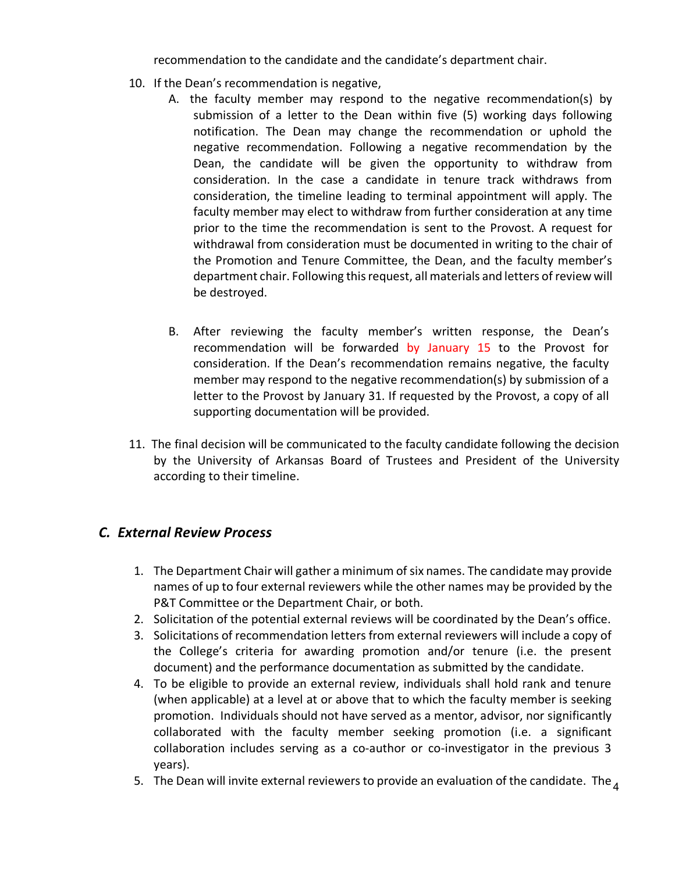recommendation to the candidate and the candidate's department chair.

- 10. If the Dean's recommendation is negative,
	- A. the faculty member may respond to the negative recommendation(s) by submission of a letter to the Dean within five (5) working days following notification. The Dean may change the recommendation or uphold the negative recommendation. Following a negative recommendation by the Dean, the candidate will be given the opportunity to withdraw from consideration. In the case a candidate in tenure track withdraws from consideration, the timeline leading to terminal appointment will apply. The faculty member may elect to withdraw from further consideration at any time prior to the time the recommendation is sent to the Provost. A request for withdrawal from consideration must be documented in writing to the chair of the Promotion and Tenure Committee, the Dean, and the faculty member's department chair. Following this request, all materials and letters of review will be destroyed.
	- B. After reviewing the faculty member's written response, the Dean's recommendation will be forwarded by January 15 to the Provost for consideration. If the Dean's recommendation remains negative, the faculty member may respond to the negative recommendation(s) by submission of a letter to the Provost by January 31. If requested by the Provost, a copy of all supporting documentation will be provided.
- 11. The final decision will be communicated to the faculty candidate following the decision by the University of Arkansas Board of Trustees and President of the University according to their timeline.

## *C. External Review Process*

- 1. The Department Chair will gather a minimum of six names. The candidate may provide names of up to four external reviewers while the other names may be provided by the P&T Committee or the Department Chair, or both.
- 2. Solicitation of the potential external reviews will be coordinated by the Dean's office.
- 3. Solicitations of recommendation letters from external reviewers will include a copy of the College's criteria for awarding promotion and/or tenure (i.e. the present document) and the performance documentation as submitted by the candidate.
- 4. To be eligible to provide an external review, individuals shall hold rank and tenure (when applicable) at a level at or above that to which the faculty member is seeking promotion. Individuals should not have served as a mentor, advisor, nor significantly collaborated with the faculty member seeking promotion (i.e. a significant collaboration includes serving as a co-author or co-investigator in the previous 3 years).
- 5. The Dean will invite external reviewers to provide an evaluation of the candidate. The  $_4$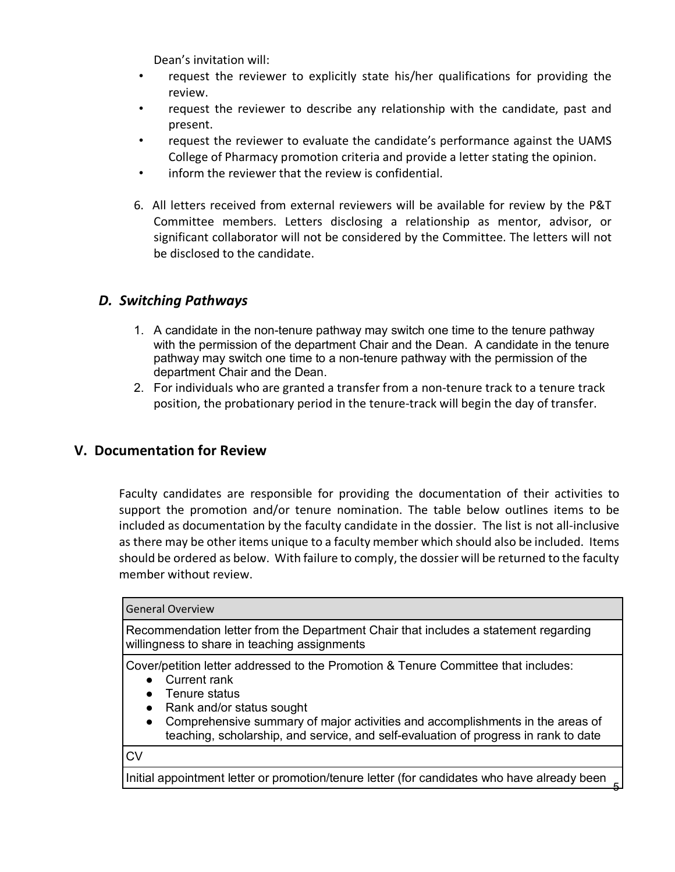Dean's invitation will:

- request the reviewer to explicitly state his/her qualifications for providing the review.
- request the reviewer to describe any relationship with the candidate, past and present.
- request the reviewer to evaluate the candidate's performance against the UAMS College of Pharmacy promotion criteria and provide a letter stating the opinion.
- inform the reviewer that the review is confidential.
- 6. All letters received from external reviewers will be available for review by the P&T Committee members. Letters disclosing a relationship as mentor, advisor, or significant collaborator will not be considered by the Committee. The letters will not be disclosed to the candidate.

### *D. Switching Pathways*

- 1. A candidate in the non-tenure pathway may switch one time to the tenure pathway with the permission of the department Chair and the Dean. A candidate in the tenure pathway may switch one time to a non-tenure pathway with the permission of the department Chair and the Dean.
- 2. For individuals who are granted a transfer from a non-tenure track to a tenure track position, the probationary period in the tenure-track will begin the day of transfer.

### **V. Documentation for Review**

Faculty candidates are responsible for providing the documentation of their activities to support the promotion and/or tenure nomination. The table below outlines items to be included as documentation by the faculty candidate in the dossier. The list is not all-inclusive as there may be other items unique to a faculty member which should also be included. Items should be ordered as below. With failure to comply, the dossier will be returned to the faculty member without review.

| <b>General Overview</b>                                                                                                                                                                                                                                                                                                                            |  |  |  |  |
|----------------------------------------------------------------------------------------------------------------------------------------------------------------------------------------------------------------------------------------------------------------------------------------------------------------------------------------------------|--|--|--|--|
| Recommendation letter from the Department Chair that includes a statement regarding<br>willingness to share in teaching assignments                                                                                                                                                                                                                |  |  |  |  |
| Cover/petition letter addressed to the Promotion & Tenure Committee that includes:<br>Current rank<br>Tenure status<br>Rank and/or status sought<br>$\bullet$<br>Comprehensive summary of major activities and accomplishments in the areas of<br>$\bullet$<br>teaching, scholarship, and service, and self-evaluation of progress in rank to date |  |  |  |  |
| CV                                                                                                                                                                                                                                                                                                                                                 |  |  |  |  |
| Initial appointment letter or promotion/tenure letter (for candidates who have already been                                                                                                                                                                                                                                                        |  |  |  |  |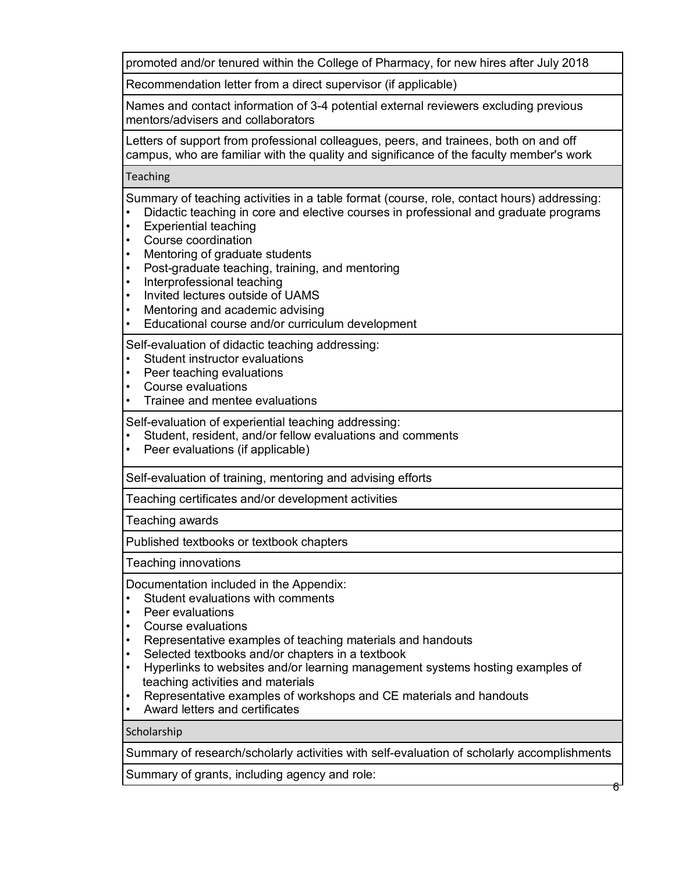promoted and/or tenured within the College of Pharmacy, for new hires after July 2018

Recommendation letter from a direct supervisor (if applicable)

Names and contact information of 3-4 potential external reviewers excluding previous mentors/advisers and collaborators

Letters of support from professional colleagues, peers, and trainees, both on and off campus, who are familiar with the quality and significance of the faculty member's work

**Teaching** 

Summary of teaching activities in a table format (course, role, contact hours) addressing:

- Didactic teaching in core and elective courses in professional and graduate programs
- Experiential teaching
- Course coordination
- Mentoring of graduate students
- Post-graduate teaching, training, and mentoring
- Interprofessional teaching
- Invited lectures outside of UAMS
- Mentoring and academic advising
- Educational course and/or curriculum development

Self-evaluation of didactic teaching addressing:

- Student instructor evaluations
- Peer teaching evaluations
- Course evaluations
- Trainee and mentee evaluations

Self-evaluation of experiential teaching addressing:

- Student, resident, and/or fellow evaluations and comments
- Peer evaluations (if applicable)

Self-evaluation of training, mentoring and advising efforts

Teaching certificates and/or development activities

Teaching awards

Published textbooks or textbook chapters

Teaching innovations

Documentation included in the Appendix:

- Student evaluations with comments
- Peer evaluations
- Course evaluations
- Representative examples of teaching materials and handouts
- Selected textbooks and/or chapters in a textbook
- Hyperlinks to websites and/or learning management systems hosting examples of teaching activities and materials
- Representative examples of workshops and CE materials and handouts
- Award letters and certificates

**Scholarship** 

Summary of research/scholarly activities with self-evaluation of scholarly accomplishments

Summary of grants, including agency and role: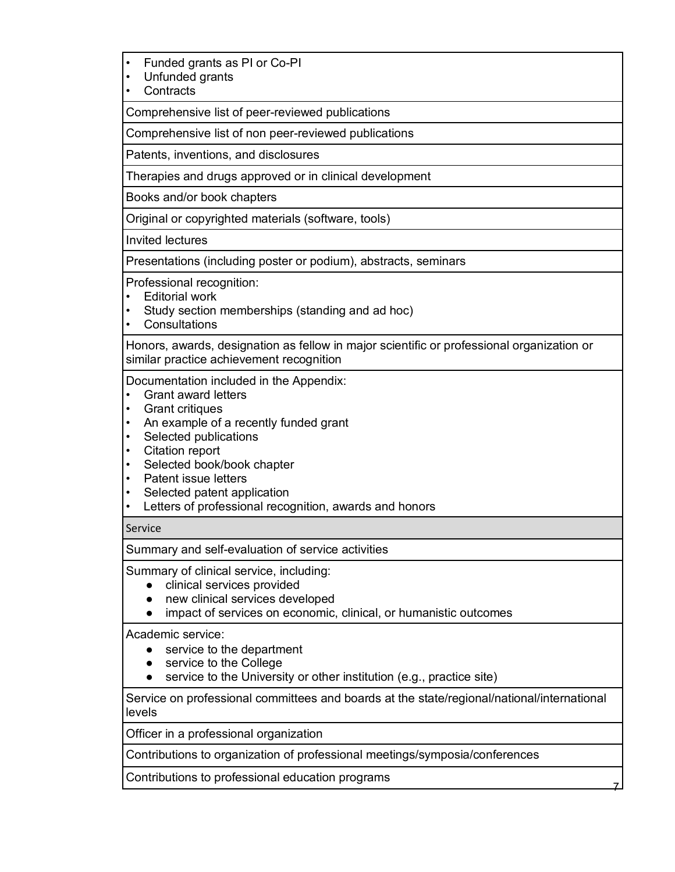|  | Funded grants as PI or Co-PI |  |  |  |  |  |  |
|--|------------------------------|--|--|--|--|--|--|
|--|------------------------------|--|--|--|--|--|--|

• Unfunded grants

**Contracts** 

Comprehensive list of peer-reviewed publications

Comprehensive list of non peer-reviewed publications

Patents, inventions, and disclosures

Therapies and drugs approved or in clinical development

Books and/or book chapters

Original or copyrighted materials (software, tools)

Invited lectures

Presentations (including poster or podium), abstracts, seminars

Professional recognition:

- Editorial work
- Study section memberships (standing and ad hoc)
- Consultations

Honors, awards, designation as fellow in major scientific or professional organization or similar practice achievement recognition

Documentation included in the Appendix:

- Grant award letters
- Grant critiques
- An example of a recently funded grant
- Selected publications
- Citation report
- Selected book/book chapter
- Patent issue letters
- Selected patent application
- Letters of professional recognition, awards and honors

#### Service

Summary and self-evaluation of service activities

Summary of clinical service, including:

- clinical services provided
- new clinical services developed
- impact of services on economic, clinical, or humanistic outcomes

Academic service:

- service to the department
- service to the College
- service to the University or other institution (e.g., practice site)

Service on professional committees and boards at the state/regional/national/international levels

Officer in a professional organization

Contributions to organization of professional meetings/symposia/conferences

Contributions to professional education programs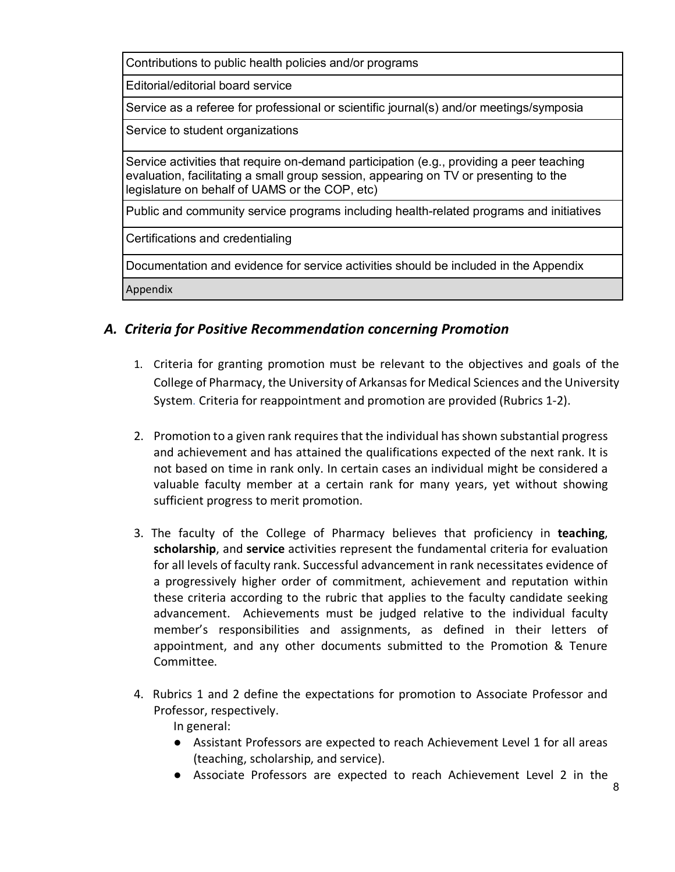Contributions to public health policies and/or programs

Editorial/editorial board service

Service as a referee for professional or scientific journal(s) and/or meetings/symposia

Service to student organizations

Service activities that require on-demand participation (e.g., providing a peer teaching evaluation, facilitating a small group session, appearing on TV or presenting to the legislature on behalf of UAMS or the COP, etc)

Public and community service programs including health-related programs and initiatives

Certifications and credentialing

Documentation and evidence for service activities should be included in the Appendix

Appendix

### *A. Criteria for Positive Recommendation concerning Promotion*

- 1. Criteria for granting promotion must be relevant to the objectives and goals of the College of Pharmacy, the University of Arkansas for Medical Sciences and the University System. Criteria for reappointment and promotion are provided (Rubrics 1-2).
- 2. Promotion to a given rank requires that the individual has shown substantial progress and achievement and has attained the qualifications expected of the next rank. It is not based on time in rank only. In certain cases an individual might be considered a valuable faculty member at a certain rank for many years, yet without showing sufficient progress to merit promotion.
- 3. The faculty of the College of Pharmacy believes that proficiency in **teaching**, **scholarship**, and **service** activities represent the fundamental criteria for evaluation for all levels of faculty rank. Successful advancement in rank necessitates evidence of a progressively higher order of commitment, achievement and reputation within these criteria according to the rubric that applies to the faculty candidate seeking advancement. Achievements must be judged relative to the individual faculty member's responsibilities and assignments, as defined in their letters of appointment, and any other documents submitted to the Promotion & Tenure Committee.
- 4. Rubrics 1 and 2 define the expectations for promotion to Associate Professor and Professor, respectively.

In general:

- Assistant Professors are expected to reach Achievement Level 1 for all areas (teaching, scholarship, and service).
- Associate Professors are expected to reach Achievement Level 2 in the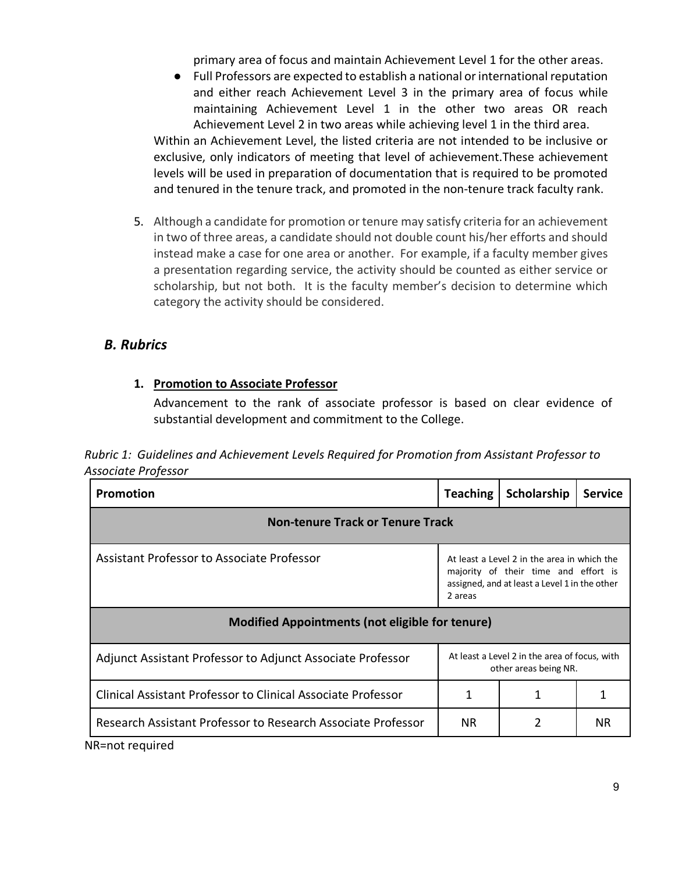primary area of focus and maintain Achievement Level 1 for the other areas.

● Full Professors are expected to establish a national or international reputation and either reach Achievement Level 3 in the primary area of focus while maintaining Achievement Level 1 in the other two areas OR reach Achievement Level 2 in two areas while achieving level 1 in the third area.

Within an Achievement Level, the listed criteria are not intended to be inclusive or exclusive, only indicators of meeting that level of achievement.These achievement levels will be used in preparation of documentation that is required to be promoted and tenured in the tenure track, and promoted in the non-tenure track faculty rank.

5. Although a candidate for promotion or tenure may satisfy criteria for an achievement in two of three areas, a candidate should not double count his/her efforts and should instead make a case for one area or another. For example, if a faculty member gives a presentation regarding service, the activity should be counted as either service or scholarship, but not both. It is the faculty member's decision to determine which category the activity should be considered.

## *B. Rubrics*

#### **1. Promotion to Associate Professor**

Advancement to the rank of associate professor is based on clear evidence of substantial development and commitment to the College.

*Rubric 1: Guidelines and Achievement Levels Required for Promotion from Assistant Professor to Associate Professor*

| <b>Promotion</b>                                                                        | <b>Teaching</b>                                                                                                                                 | Scholarship | <b>Service</b> |  |  |  |
|-----------------------------------------------------------------------------------------|-------------------------------------------------------------------------------------------------------------------------------------------------|-------------|----------------|--|--|--|
| <b>Non-tenure Track or Tenure Track</b>                                                 |                                                                                                                                                 |             |                |  |  |  |
| Assistant Professor to Associate Professor                                              | At least a Level 2 in the area in which the<br>majority of their time and effort is<br>assigned, and at least a Level 1 in the other<br>2 areas |             |                |  |  |  |
| <b>Modified Appointments (not eligible for tenure)</b>                                  |                                                                                                                                                 |             |                |  |  |  |
| Adjunct Assistant Professor to Adjunct Associate Professor                              | At least a Level 2 in the area of focus, with<br>other areas being NR.                                                                          |             |                |  |  |  |
| Clinical Assistant Professor to Clinical Associate Professor                            | 1                                                                                                                                               |             |                |  |  |  |
| Research Assistant Professor to Research Associate Professor<br>المموزان بمموسط ممردانا | NR.                                                                                                                                             |             | NR.            |  |  |  |

NR=not required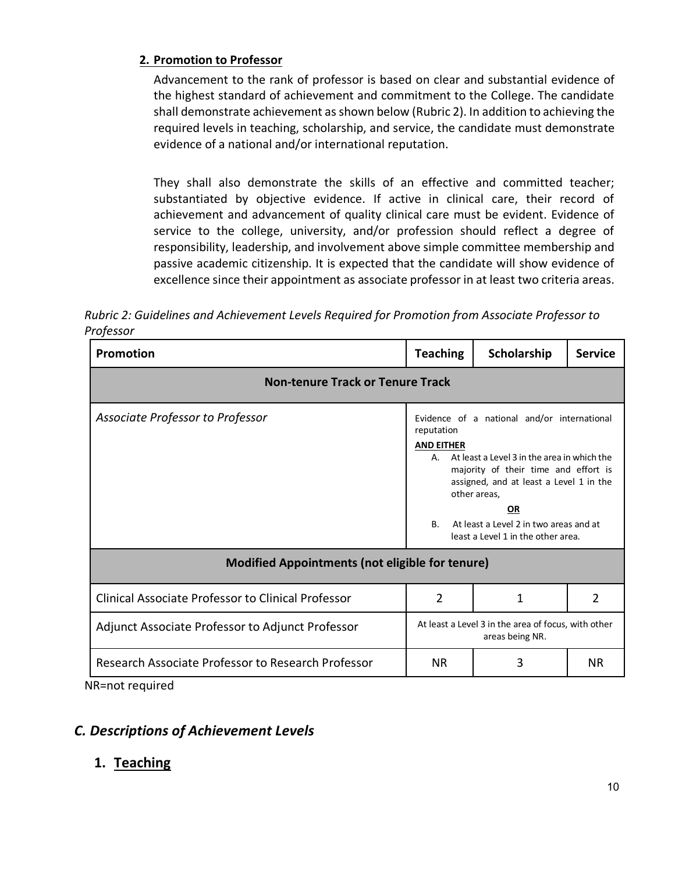### **2. Promotion to Professor**

Advancement to the rank of professor is based on clear and substantial evidence of the highest standard of achievement and commitment to the College. The candidate shall demonstrate achievement as shown below (Rubric 2). In addition to achieving the required levels in teaching, scholarship, and service, the candidate must demonstrate evidence of a national and/or international reputation.

They shall also demonstrate the skills of an effective and committed teacher; substantiated by objective evidence. If active in clinical care, their record of achievement and advancement of quality clinical care must be evident. Evidence of service to the college, university, and/or profession should reflect a degree of responsibility, leadership, and involvement above simple committee membership and passive academic citizenship. It is expected that the candidate will show evidence of excellence since their appointment as associate professor in at least two criteria areas.

*Rubric 2: Guidelines and Achievement Levels Required for Promotion from Associate Professor to Professor*

| Promotion                                                             | <b>Teaching</b>                                                                                                                                                                                                                                                                                                                                    | Scholarship | <b>Service</b> |  |  |  |  |
|-----------------------------------------------------------------------|----------------------------------------------------------------------------------------------------------------------------------------------------------------------------------------------------------------------------------------------------------------------------------------------------------------------------------------------------|-------------|----------------|--|--|--|--|
| <b>Non-tenure Track or Tenure Track</b>                               |                                                                                                                                                                                                                                                                                                                                                    |             |                |  |  |  |  |
| Associate Professor to Professor                                      | Evidence of a national and/or international<br>reputation<br><b>AND EITHER</b><br>A. At least a Level 3 in the area in which the<br>majority of their time and effort is<br>assigned, and at least a Level 1 in the<br>other areas,<br><b>OR</b><br>At least a Level 2 in two areas and at<br>B <sub>1</sub><br>least a Level 1 in the other area. |             |                |  |  |  |  |
| <b>Modified Appointments (not eligible for tenure)</b>                |                                                                                                                                                                                                                                                                                                                                                    |             |                |  |  |  |  |
| <b>Clinical Associate Professor to Clinical Professor</b>             | $\overline{2}$                                                                                                                                                                                                                                                                                                                                     | 1           | 2              |  |  |  |  |
| Adjunct Associate Professor to Adjunct Professor                      | At least a Level 3 in the area of focus, with other<br>areas being NR.                                                                                                                                                                                                                                                                             |             |                |  |  |  |  |
| Research Associate Professor to Research Professor<br>NR=n∩t required | <b>NR</b>                                                                                                                                                                                                                                                                                                                                          | 3           | <b>NR</b>      |  |  |  |  |

NR=not required

# *C. Descriptions of Achievement Levels*

## **1. Teaching**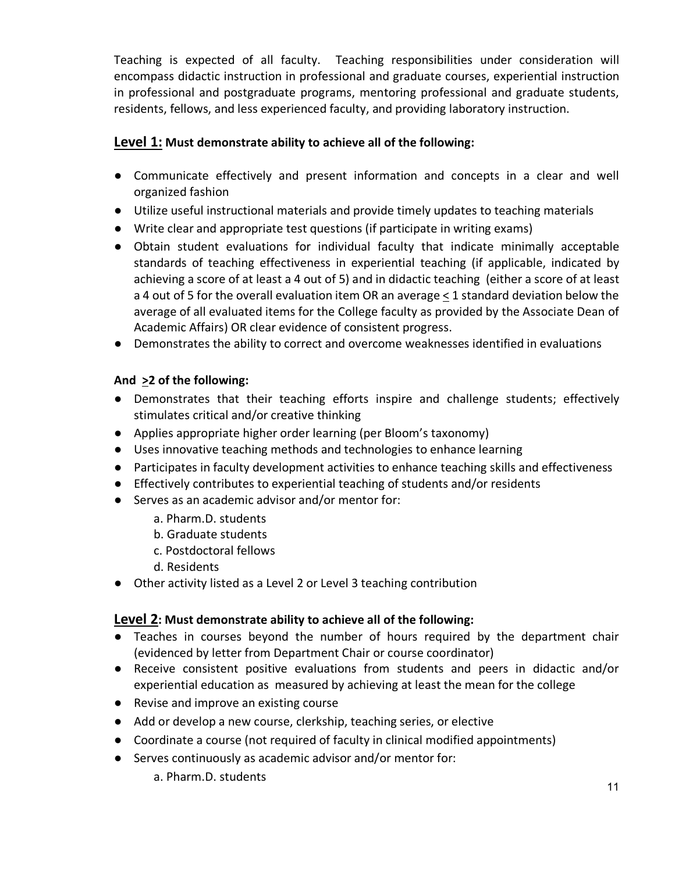Teaching is expected of all faculty. Teaching responsibilities under consideration will encompass didactic instruction in professional and graduate courses, experiential instruction in professional and postgraduate programs, mentoring professional and graduate students, residents, fellows, and less experienced faculty, and providing laboratory instruction.

### **Level 1: Must demonstrate ability to achieve all of the following:**

- Communicate effectively and present information and concepts in a clear and well organized fashion
- Utilize useful instructional materials and provide timely updates to teaching materials
- Write clear and appropriate test questions (if participate in writing exams)
- Obtain student evaluations for individual faculty that indicate minimally acceptable standards of teaching effectiveness in experiential teaching (if applicable, indicated by achieving a score of at least a 4 out of 5) and in didactic teaching (either a score of at least a 4 out of 5 for the overall evaluation item OR an average < 1 standard deviation below the average of all evaluated items for the College faculty as provided by the Associate Dean of Academic Affairs) OR clear evidence of consistent progress.
- Demonstrates the ability to correct and overcome weaknesses identified in evaluations

#### **And >2 of the following:**

- Demonstrates that their teaching efforts inspire and challenge students; effectively stimulates critical and/or creative thinking
- Applies appropriate higher order learning (per Bloom's taxonomy)
- Uses innovative teaching methods and technologies to enhance learning
- Participates in faculty development activities to enhance teaching skills and effectiveness
- Effectively contributes to experiential teaching of students and/or residents
- Serves as an academic advisor and/or mentor for:
	- a. Pharm.D. students
	- b. Graduate students
	- c. Postdoctoral fellows
	- d. Residents
- Other activity listed as a Level 2 or Level 3 teaching contribution

#### **Level 2: Must demonstrate ability to achieve all of the following:**

- Teaches in courses beyond the number of hours required by the department chair (evidenced by letter from Department Chair or course coordinator)
- Receive consistent positive evaluations from students and peers in didactic and/or experiential education as measured by achieving at least the mean for the college
- Revise and improve an existing course
- Add or develop a new course, clerkship, teaching series, or elective
- Coordinate a course (not required of faculty in clinical modified appointments)
- Serves continuously as academic advisor and/or mentor for:
	- a. Pharm.D. students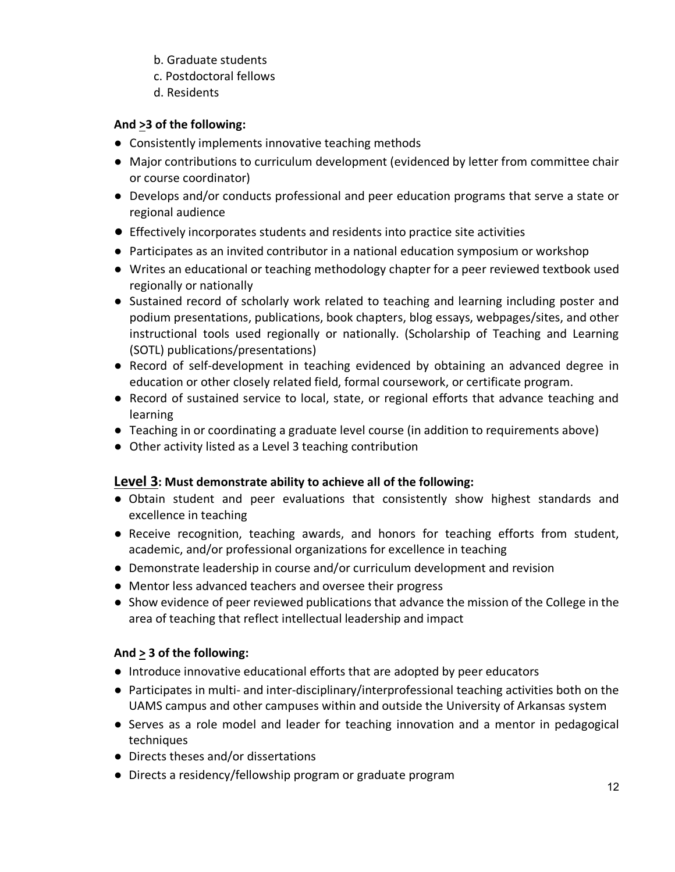- b. Graduate students
- c. Postdoctoral fellows
- d. Residents

#### **And >3 of the following:**

- Consistently implements innovative teaching methods
- Major contributions to curriculum development (evidenced by letter from committee chair or course coordinator)
- Develops and/or conducts professional and peer education programs that serve a state or regional audience
- Effectively incorporates students and residents into practice site activities
- Participates as an invited contributor in a national education symposium or workshop
- Writes an educational or teaching methodology chapter for a peer reviewed textbook used regionally or nationally
- Sustained record of scholarly work related to teaching and learning including poster and podium presentations, publications, book chapters, blog essays, webpages/sites, and other instructional tools used regionally or nationally. (Scholarship of Teaching and Learning (SOTL) publications/presentations)
- Record of self-development in teaching evidenced by obtaining an advanced degree in education or other closely related field, formal coursework, or certificate program.
- Record of sustained service to local, state, or regional efforts that advance teaching and learning
- Teaching in or coordinating a graduate level course (in addition to requirements above)
- Other activity listed as a Level 3 teaching contribution

### **Level 3: Must demonstrate ability to achieve all of the following:**

- Obtain student and peer evaluations that consistently show highest standards and excellence in teaching
- Receive recognition, teaching awards, and honors for teaching efforts from student, academic, and/or professional organizations for excellence in teaching
- Demonstrate leadership in course and/or curriculum development and revision
- Mentor less advanced teachers and oversee their progress
- Show evidence of peer reviewed publications that advance the mission of the College in the area of teaching that reflect intellectual leadership and impact

### **And > 3 of the following:**

- Introduce innovative educational efforts that are adopted by peer educators
- Participates in multi- and inter-disciplinary/interprofessional teaching activities both on the UAMS campus and other campuses within and outside the University of Arkansas system
- Serves as a role model and leader for teaching innovation and a mentor in pedagogical techniques
- Directs theses and/or dissertations
- Directs a residency/fellowship program or graduate program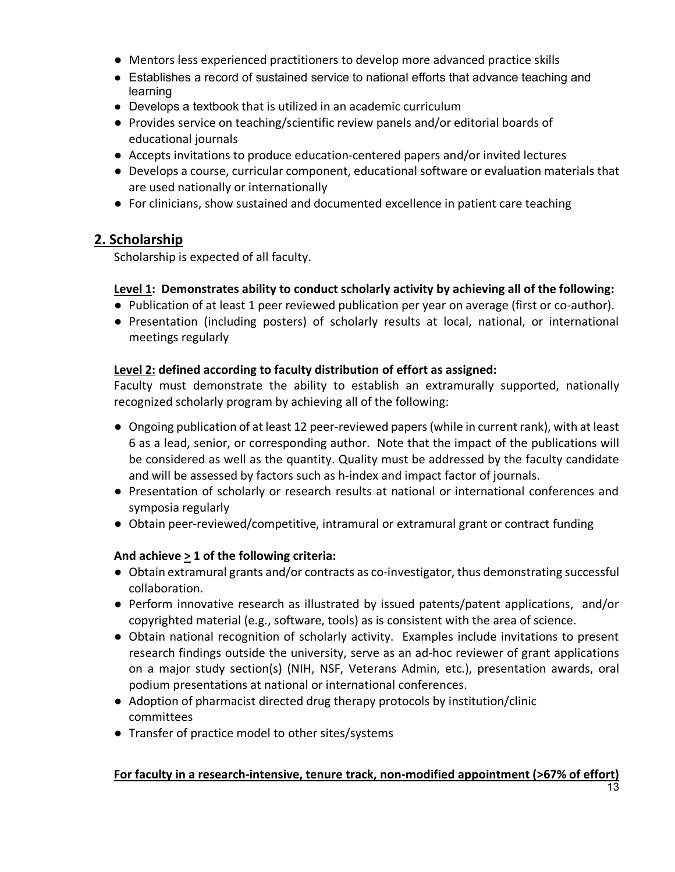- Mentors less experienced practitioners to develop more advanced practice skills
- Establishes a record of sustained service to national efforts that advance teaching and learning
- Develops a textbook that is utilized in an academic curriculum
- Provides service on teaching/scientific review panels and/or editorial boards of educational journals
- Accepts invitations to produce education-centered papers and/or invited lectures
- Develops a course, curricular component, educational software or evaluation materials that are used nationally or internationally
- For clinicians, show sustained and documented excellence in patient care teaching

### **2. Scholarship**

Scholarship is expected of all faculty.

#### **Level 1: Demonstrates ability to conduct scholarly activity by achieving all of the following:**

- Publication of at least 1 peer reviewed publication per year on average (first or co-author).
- Presentation (including posters) of scholarly results at local, national, or international meetings regularly

#### **Level 2: defined according to faculty distribution of effort as assigned:**

Faculty must demonstrate the ability to establish an extramurally supported, nationally recognized scholarly program by achieving all of the following:

- Ongoing publication of at least 12 peer-reviewed papers (while in current rank), with at least 6 as a lead, senior, or corresponding author. Note that the impact of the publications will be considered as well as the quantity. Quality must be addressed by the faculty candidate and will be assessed by factors such as h-index and impact factor of journals.
- Presentation of scholarly or research results at national or international conferences and symposia regularly
- Obtain peer-reviewed/competitive, intramural or extramural grant or contract funding

### **And achieve > 1 of the following criteria:**

- Obtain extramural grants and/or contracts as co-investigator, thus demonstrating successful collaboration.
- Perform innovative research as illustrated by issued patents/patent applications, and/or copyrighted material (e.g., software, tools) as is consistent with the area of science.
- Obtain national recognition of scholarly activity. Examples include invitations to present research findings outside the university, serve as an ad-hoc reviewer of grant applications on a major study section(s) (NIH, NSF, Veterans Admin, etc.), presentation awards, oral podium presentations at national or international conferences.
- Adoption of pharmacist directed drug therapy protocols by institution/clinic committees
- Transfer of practice model to other sites/systems

## **For faculty in a research-intensive, tenure track, non-modified appointment (>67% of effort)**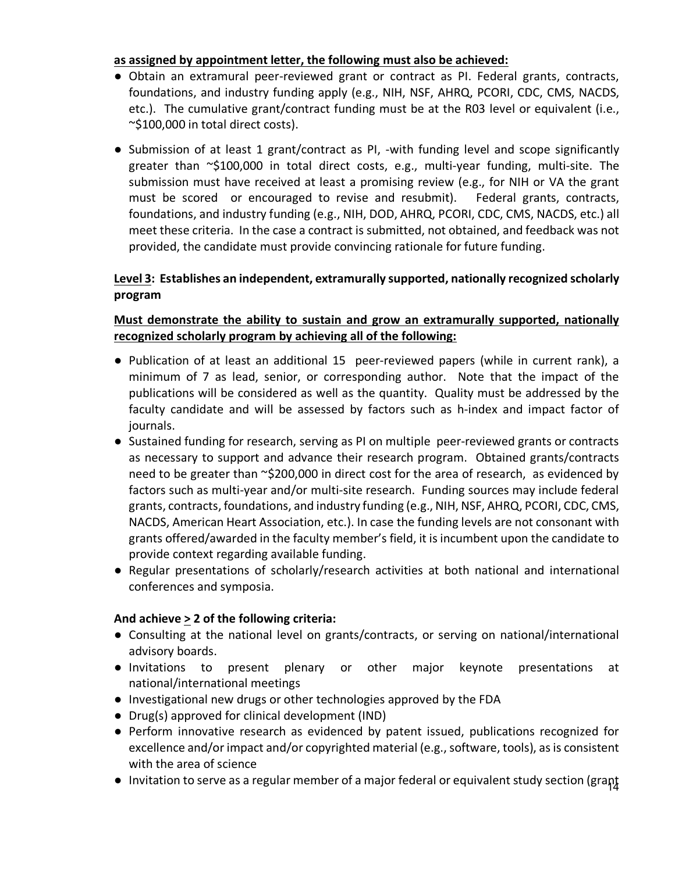#### **as assigned by appointment letter, the following must also be achieved:**

- Obtain an extramural peer-reviewed grant or contract as PI. Federal grants, contracts, foundations, and industry funding apply (e.g., NIH, NSF, AHRQ, PCORI, CDC, CMS, NACDS, etc.). The cumulative grant/contract funding must be at the R03 level or equivalent (i.e., ~\$100,000 in total direct costs).
- Submission of at least 1 grant/contract as PI, -with funding level and scope significantly greater than ~\$100,000 in total direct costs, e.g., multi-year funding, multi-site. The submission must have received at least a promising review (e.g., for NIH or VA the grant must be scored or encouraged to revise and resubmit). Federal grants, contracts, foundations, and industry funding (e.g., NIH, DOD, AHRQ, PCORI, CDC, CMS, NACDS, etc.) all meet these criteria. In the case a contract is submitted, not obtained, and feedback was not provided, the candidate must provide convincing rationale for future funding.

#### **Level 3: Establishes an independent, extramurally supported, nationally recognized scholarly program**

#### **Must demonstrate the ability to sustain and grow an extramurally supported, nationally recognized scholarly program by achieving all of the following:**

- Publication of at least an additional 15 peer-reviewed papers (while in current rank), a minimum of 7 as lead, senior, or corresponding author. Note that the impact of the publications will be considered as well as the quantity. Quality must be addressed by the faculty candidate and will be assessed by factors such as h-index and impact factor of journals.
- Sustained funding for research, serving as PI on multiple peer-reviewed grants or contracts as necessary to support and advance their research program. Obtained grants/contracts need to be greater than ~\$200,000 in direct cost for the area of research, as evidenced by factors such as multi-year and/or multi-site research. Funding sources may include federal grants, contracts, foundations, and industry funding (e.g., NIH, NSF, AHRQ, PCORI, CDC, CMS, NACDS, American Heart Association, etc.). In case the funding levels are not consonant with grants offered/awarded in the faculty member's field, it is incumbent upon the candidate to provide context regarding available funding.
- Regular presentations of scholarly/research activities at both national and international conferences and symposia.

#### **And achieve > 2 of the following criteria:**

- Consulting at the national level on grants/contracts, or serving on national/international advisory boards.
- Invitations to present plenary or other major keynote presentations at national/international meetings
- Investigational new drugs or other technologies approved by the FDA
- Drug(s) approved for clinical development (IND)
- Perform innovative research as evidenced by patent issued, publications recognized for excellence and/or impact and/or copyrighted material (e.g., software, tools), as is consistent with the area of science
- $\bullet$  Invitation to serve as a regular member of a major federal or equivalent study section (grant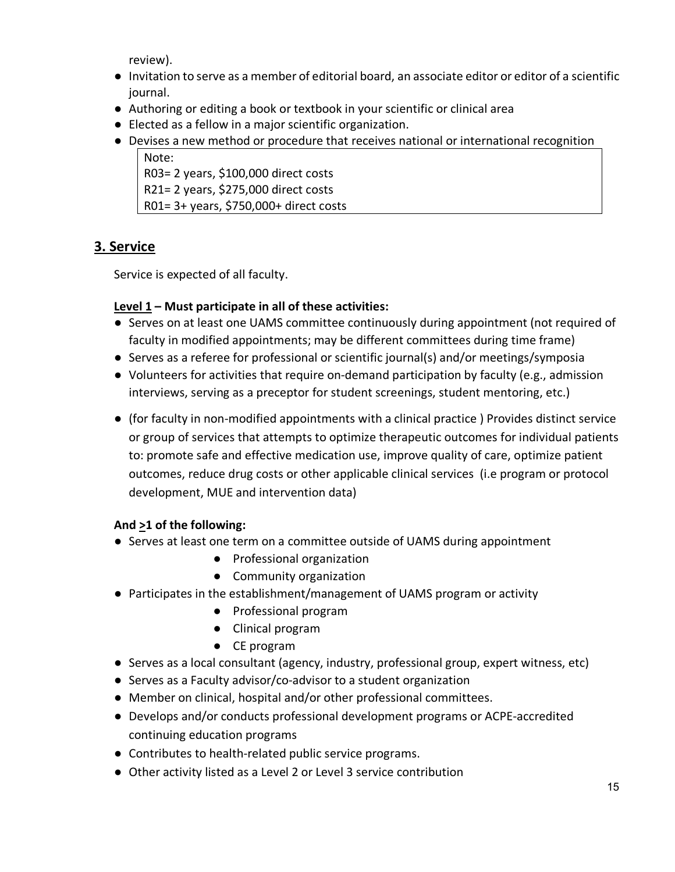review).

- Invitation to serve as a member of editorial board, an associate editor or editor of a scientific journal.
- Authoring or editing a book or textbook in your scientific or clinical area
- Elected as a fellow in a major scientific organization.
- Devises a new method or procedure that receives national or international recognition Note:

R03= 2 years, \$100,000 direct costs R21= 2 years, \$275,000 direct costs R01= 3+ years, \$750,000+ direct costs

## **3. Service**

Service is expected of all faculty.

### **Level 1 – Must participate in all of these activities:**

- Serves on at least one UAMS committee continuously during appointment (not required of faculty in modified appointments; may be different committees during time frame)
- Serves as a referee for professional or scientific journal(s) and/or meetings/symposia
- Volunteers for activities that require on-demand participation by faculty (e.g., admission interviews, serving as a preceptor for student screenings, student mentoring, etc.)
- (for faculty in non-modified appointments with a clinical practice ) Provides distinct service or group of services that attempts to optimize therapeutic outcomes for individual patients to: promote safe and effective medication use, improve quality of care, optimize patient outcomes, reduce drug costs or other applicable clinical services (i.e program or protocol development, MUE and intervention data)

### **And >1 of the following:**

- Serves at least one term on a committee outside of UAMS during appointment
	- Professional organization
	- Community organization
- Participates in the establishment/management of UAMS program or activity
	- Professional program
	- Clinical program
	- CE program
- Serves as a local consultant (agency, industry, professional group, expert witness, etc)
- Serves as a Faculty advisor/co-advisor to a student organization
- Member on clinical, hospital and/or other professional committees.
- Develops and/or conducts professional development programs or ACPE-accredited continuing education programs
- Contributes to health-related public service programs.
- Other activity listed as a Level 2 or Level 3 service contribution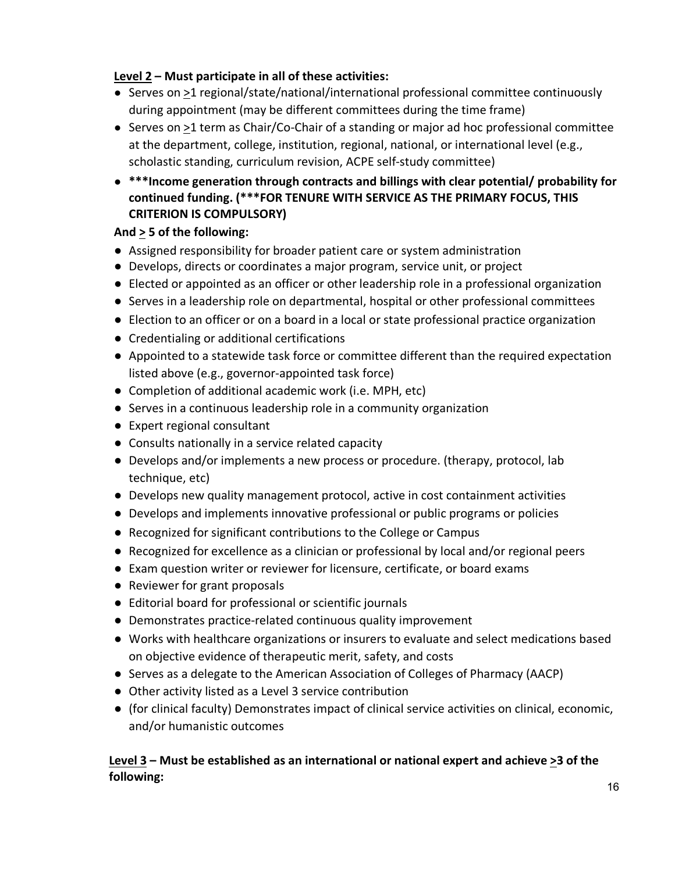#### **Level 2 – Must participate in all of these activities:**

- Serves on >1 regional/state/national/international professional committee continuously during appointment (may be different committees during the time frame)
- Serves on >1 term as Chair/Co-Chair of a standing or major ad hoc professional committee at the department, college, institution, regional, national, or international level (e.g., scholastic standing, curriculum revision, ACPE self-study committee)
- **\*\*\*Income generation through contracts and billings with clear potential/ probability for continued funding. (\*\*\*FOR TENURE WITH SERVICE AS THE PRIMARY FOCUS, THIS CRITERION IS COMPULSORY)**

### **And > 5 of the following:**

- Assigned responsibility for broader patient care or system administration
- Develops, directs or coordinates a major program, service unit, or project
- Elected or appointed as an officer or other leadership role in a professional organization
- Serves in a leadership role on departmental, hospital or other professional committees
- Election to an officer or on a board in a local or state professional practice organization
- Credentialing or additional certifications
- Appointed to a statewide task force or committee different than the required expectation listed above (e.g., governor-appointed task force)
- Completion of additional academic work (i.e. MPH, etc)
- Serves in a continuous leadership role in a community organization
- Expert regional consultant
- Consults nationally in a service related capacity
- Develops and/or implements a new process or procedure. (therapy, protocol, lab technique, etc)
- Develops new quality management protocol, active in cost containment activities
- Develops and implements innovative professional or public programs or policies
- Recognized for significant contributions to the College or Campus
- Recognized for excellence as a clinician or professional by local and/or regional peers
- Exam question writer or reviewer for licensure, certificate, or board exams
- Reviewer for grant proposals
- Editorial board for professional or scientific journals
- Demonstrates practice-related continuous quality improvement
- Works with healthcare organizations or insurers to evaluate and select medications based on objective evidence of therapeutic merit, safety, and costs
- Serves as a delegate to the American Association of Colleges of Pharmacy (AACP)
- Other activity listed as a Level 3 service contribution
- (for clinical faculty) Demonstrates impact of clinical service activities on clinical, economic, and/or humanistic outcomes

### **Level 3 – Must be established as an international or national expert and achieve >3 of the following:**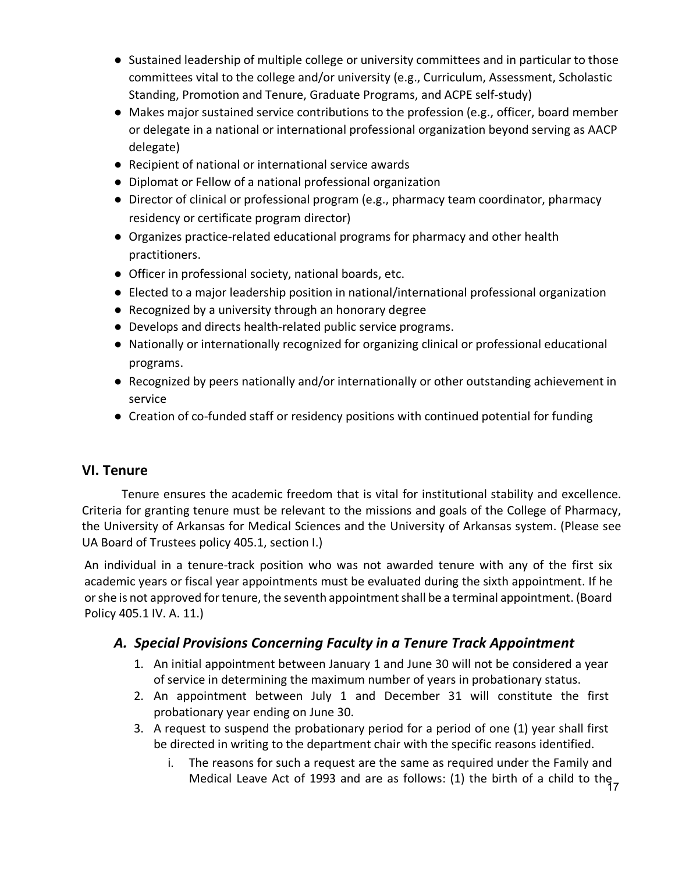- Sustained leadership of multiple college or university committees and in particular to those committees vital to the college and/or university (e.g., Curriculum, Assessment, Scholastic Standing, Promotion and Tenure, Graduate Programs, and ACPE self-study)
- Makes major sustained service contributions to the profession (e.g., officer, board member or delegate in a national or international professional organization beyond serving as AACP delegate)
- Recipient of national or international service awards
- Diplomat or Fellow of a national professional organization
- Director of clinical or professional program (e.g., pharmacy team coordinator, pharmacy residency or certificate program director)
- Organizes practice-related educational programs for pharmacy and other health practitioners.
- Officer in professional society, national boards, etc.
- Elected to a major leadership position in national/international professional organization
- Recognized by a university through an honorary degree
- Develops and directs health-related public service programs.
- Nationally or internationally recognized for organizing clinical or professional educational programs.
- Recognized by peers nationally and/or internationally or other outstanding achievement in service
- Creation of co-funded staff or residency positions with continued potential for funding

## **VI. Tenure**

Tenure ensures the academic freedom that is vital for institutional stability and excellence. Criteria for granting tenure must be relevant to the missions and goals of the College of Pharmacy, the University of Arkansas for Medical Sciences and the University of Arkansas system. (Please see UA Board of Trustees policy 405.1, section I.)

An individual in a tenure-track position who was not awarded tenure with any of the first six academic years or fiscal year appointments must be evaluated during the sixth appointment. If he or she is not approved for tenure, the seventh appointment shall be a terminal appointment. (Board Policy 405.1 IV. A. 11.)

## *A. Special Provisions Concerning Faculty in a Tenure Track Appointment*

- 1. An initial appointment between January 1 and June 30 will not be considered a year of service in determining the maximum number of years in probationary status.
- 2. An appointment between July 1 and December 31 will constitute the first probationary year ending on June 30.
- 3. A request to suspend the probationary period for a period of one (1) year shall first be directed in writing to the department chair with the specific reasons identified.
	- Medical Leave Act of 1993 and are as follows: (1) the birth of a child to the 17 i. The reasons for such a request are the same as required under the Family and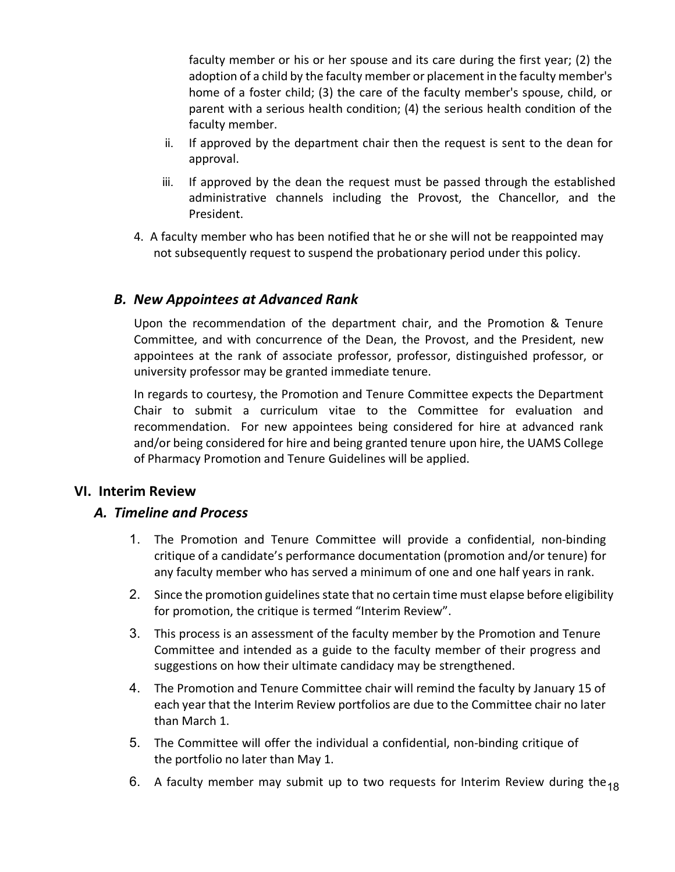faculty member or his or her spouse and its care during the first year; (2) the adoption of a child by the faculty member or placement in the faculty member's home of a foster child; (3) the care of the faculty member's spouse, child, or parent with a serious health condition; (4) the serious health condition of the faculty member.

- ii. If approved by the department chair then the request is sent to the dean for approval.
- iii. If approved by the dean the request must be passed through the established administrative channels including the Provost, the Chancellor, and the President.
- 4. A faculty member who has been notified that he or she will not be reappointed may not subsequently request to suspend the probationary period under this policy.

### *B. New Appointees at Advanced Rank*

Upon the recommendation of the department chair, and the Promotion & Tenure Committee, and with concurrence of the Dean, the Provost, and the President, new appointees at the rank of associate professor, professor, distinguished professor, or university professor may be granted immediate tenure.

In regards to courtesy, the Promotion and Tenure Committee expects the Department Chair to submit a curriculum vitae to the Committee for evaluation and recommendation. For new appointees being considered for hire at advanced rank and/or being considered for hire and being granted tenure upon hire, the UAMS College of Pharmacy Promotion and Tenure Guidelines will be applied.

### **VI. Interim Review**

### *A. Timeline and Process*

- 1. The Promotion and Tenure Committee will provide a confidential, non-binding critique of a candidate's performance documentation (promotion and/or tenure) for any faculty member who has served a minimum of one and one half years in rank.
- 2. Since the promotion guidelines state that no certain time must elapse before eligibility for promotion, the critique is termed "Interim Review".
- 3. This process is an assessment of the faculty member by the Promotion and Tenure Committee and intended as a guide to the faculty member of their progress and suggestions on how their ultimate candidacy may be strengthened.
- 4. The Promotion and Tenure Committee chair will remind the faculty by January 15 of each year that the Interim Review portfolios are due to the Committee chair no later than March 1.
- 5. The Committee will offer the individual a confidential, non-binding critique of the portfolio no later than May 1.
- 6. A faculty member may submit up to two requests for Interim Review during the<sub>18</sub>